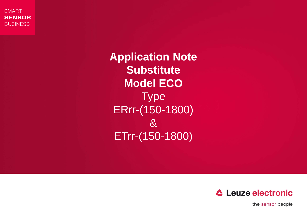**SMART SENSOR BUSINESS** 

> **Application Note Substitute Model ECO Type** ERrr-(150-1800) & ETrr-(150-1800)



and the second permit may be the second of Leuze electronic group of Leuze electronic GmbH  $\alpha$ .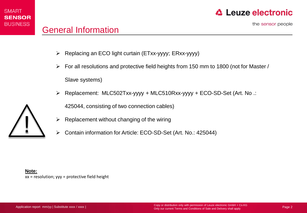



the sensor people

- Replacing an ECO light curtain (ETxx-yyyy; ERxx-yyyy)
- $\triangleright$  For all resolutions and protective field heights from 150 mm to 1800 (not for Master / Slave systems)
- $\triangleright$  Replacement: MLC502Txx-yyyy + MLC510Rxx-yyyy + ECO-SD-Set (Art. No .:

425044, consisting of two connection cables)

- 
- ▶ Replacement without changing of the wiring<br>▶ Contain information for Article: ECO-SD-Set (Art. No.: 425044)

**Note:** xx = resolution; yyy = protective field height

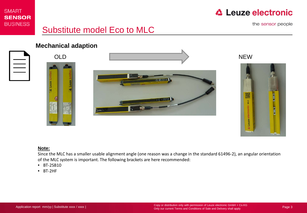

## **△ Leuze electronic**

the sensor people

# Substitute model Eco to MLC



**Mechanical adaption** 





#### **Note:**

Since the MLC has a smaller usable alignment angle (one reason was a change in the standard 61496-2), an angular orientation of the MLC system is important. The following brackets are here recommended:

• BT-2SB10

 $\Delta$  Leuze

• BT-2HF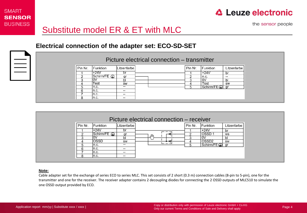

## **△ Leuze electronic**

the sensor people

### **Electrical connection of the adapter set: ECO-SD-SET**

|          | Picture electrical connection – transmitter |             |             |  |         |                                      |               |  |  |  |  |  |
|----------|---------------------------------------------|-------------|-------------|--|---------|--------------------------------------|---------------|--|--|--|--|--|
| $\equiv$ | Pin Nr.                                     | Funktion    | Litzenfarbe |  | Pin Nr. | Funktion                             | Litzenfarbe l |  |  |  |  |  |
|          |                                             | +24V        | br          |  |         | $+24V$                               | br            |  |  |  |  |  |
|          |                                             | Schirm/FE ( | ar          |  |         | n.c.                                 | $- -$         |  |  |  |  |  |
|          |                                             |             | bl          |  |         | l ov                                 |               |  |  |  |  |  |
|          |                                             | Test        | SW          |  |         | <b>Test</b>                          | SW            |  |  |  |  |  |
|          |                                             | In.c.       | --          |  |         | $ \text{Schirm/FE}(\mathcal{D}) $ gr |               |  |  |  |  |  |
|          |                                             | In.c.       | $- -$       |  |         |                                      |               |  |  |  |  |  |
|          |                                             | n.c.        | $- -$       |  |         |                                      |               |  |  |  |  |  |
|          |                                             | In.c.       | $- -$       |  |         |                                      |               |  |  |  |  |  |

| Picture electrical connection – receiver |             |     |         |                   |               |  |  |  |  |  |  |
|------------------------------------------|-------------|-----|---------|-------------------|---------------|--|--|--|--|--|--|
| Pin Nr.<br>Funktion                      | Litzenfarbe |     | Pin Nr. | Funktion          | Litzenfarbe I |  |  |  |  |  |  |
| +24V                                     | br          |     |         | $+24V$            | br            |  |  |  |  |  |  |
| Schirm/FE (                              | ar          |     |         | OSSD              | WS            |  |  |  |  |  |  |
|                                          | ы           | r-l |         | O٧                |               |  |  |  |  |  |  |
| OSSD                                     | SW          |     |         | OSSD <sub>2</sub> | SW            |  |  |  |  |  |  |
| In.c.                                    | $- -$       |     |         | Schirm/FE (D)     |               |  |  |  |  |  |  |
| n.c.                                     | $\sim$      |     |         |                   |               |  |  |  |  |  |  |
| 'n.c.                                    | $- -$       |     |         |                   |               |  |  |  |  |  |  |
| In.c.                                    | $\cdots$    |     |         |                   |               |  |  |  |  |  |  |

#### **Note:**

Cable adapter set for the exchange of series ECO to series MLC. This set consists of 2 short (0.3 m) connection cables (8-pin to 5-pin), one for the transmitter and one for the receiver. The receiver adapter contains 2 decoupling diodes for connecting the 2 OSSD outputs of MLC510 to simulate the one OSSD output provided by ECO.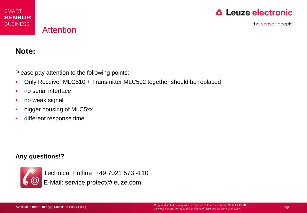## Attention

**△ Leuze electronic** 

the sensor people

### **Note:**

Please pay attention to the following points:

- Only Receiver MLC510 + Transmitter MLC502 together should be replaced
- no serial interface
- no weak signal
- bigger housing of MLC5xx
- different response time

### **Any questions!?**



Technical Hotline +49 7021 573 -110 E-Mail: service.protect@leuze.com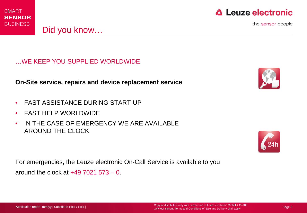

Did you know…



the sensor people

…WE KEEP YOU SUPPLIED WORLDWIDE

**On-Site service, repairs and device replacement service** 

- FAST ASSISTANCE DURING START-UP
- FAST HELP WORLDWIDE
- IN THE CASE OF EMERGENCY WE ARE AVAILABLE AROUND THE CLOCK

For emergencies, the Leuze electronic On-Call Service is available to you around the clock at  $+49,7021,573 - 0$ .